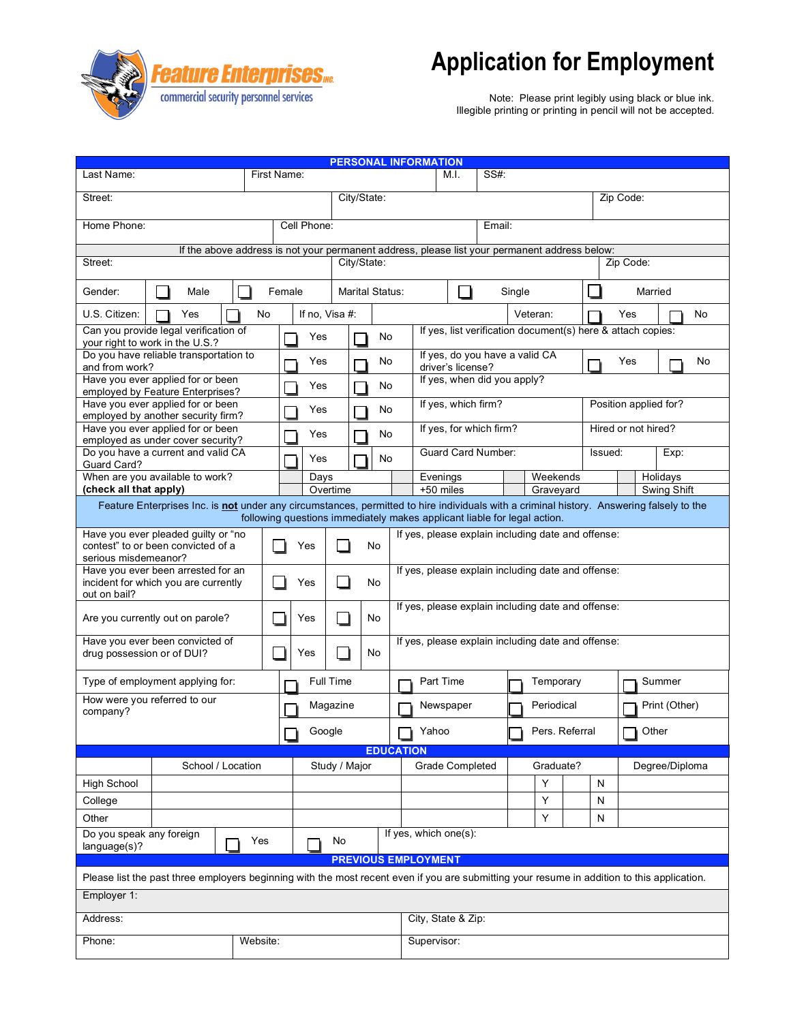

## **Application for Employment**

Note: Please print legibly using black or blue ink. Illegible printing or printing in pencil will not be accepted.

| <b>PERSONAL INFORMATION</b>                                                                                                                                                                                          |                                                                         |             |               |                |                           |                                                                                               |                             |                                                            |      |        |           |                |                     |                       |                |              |        |  |  |
|----------------------------------------------------------------------------------------------------------------------------------------------------------------------------------------------------------------------|-------------------------------------------------------------------------|-------------|---------------|----------------|---------------------------|-----------------------------------------------------------------------------------------------|-----------------------------|------------------------------------------------------------|------|--------|-----------|----------------|---------------------|-----------------------|----------------|--------------|--------|--|--|
| Last Name:                                                                                                                                                                                                           | First Name:                                                             |             |               |                |                           |                                                                                               |                             | M.I.                                                       | SS#: |        |           |                |                     |                       |                |              |        |  |  |
| Street:                                                                                                                                                                                                              |                                                                         |             |               |                |                           | City/State:                                                                                   |                             |                                                            |      |        |           |                |                     |                       | Zip Code:      |              |        |  |  |
| Home Phone:                                                                                                                                                                                                          |                                                                         |             |               | Cell Phone:    |                           |                                                                                               |                             |                                                            |      | Email: |           |                |                     |                       |                |              |        |  |  |
|                                                                                                                                                                                                                      |                                                                         |             |               |                |                           |                                                                                               |                             |                                                            |      |        |           |                |                     |                       |                |              |        |  |  |
| Street:                                                                                                                                                                                                              |                                                                         | City/State: |               |                |                           | If the above address is not your permanent address, please list your permanent address below: |                             |                                                            |      |        |           | Zip Code:      |                     |                       |                |              |        |  |  |
| Gender:                                                                                                                                                                                                              | Male                                                                    |             |               |                | Female<br>Marital Status: |                                                                                               |                             | Single                                                     |      |        |           |                | Married             |                       |                |              |        |  |  |
| U.S. Citizen:                                                                                                                                                                                                        | Yes                                                                     | No          |               | If no, Visa #: |                           |                                                                                               |                             |                                                            |      |        |           | Veteran:       |                     |                       | Yes<br>No.     |              |        |  |  |
| Can you provide legal verification of<br>your right to work in the U.S.?                                                                                                                                             |                                                                         | Yes         | No            |                |                           | If yes, list verification document(s) here & attach copies:                                   |                             |                                                            |      |        |           |                |                     |                       |                |              |        |  |  |
| Do you have reliable transportation to<br>and from work?                                                                                                                                                             |                                                                         |             |               | Yes            |                           | No                                                                                            |                             | If yes, do you have a valid CA<br>Yes<br>driver's license? |      |        |           |                |                     |                       | No             |              |        |  |  |
| Have you ever applied for or been                                                                                                                                                                                    |                                                                         |             |               | Yes            | No                        |                                                                                               | If yes, when did you apply? |                                                            |      |        |           |                |                     |                       |                |              |        |  |  |
| employed by Feature Enterprises?<br>Have you ever applied for or been<br>employed by another security firm?                                                                                                          |                                                                         |             |               | Yes<br>No      |                           |                                                                                               |                             | If yes, which firm?                                        |      |        |           |                |                     | Position applied for? |                |              |        |  |  |
|                                                                                                                                                                                                                      | Have you ever applied for or been                                       |             |               | Yes<br>No      |                           |                                                                                               |                             | If yes, for which firm?                                    |      |        |           |                | Hired or not hired? |                       |                |              |        |  |  |
|                                                                                                                                                                                                                      | employed as under cover security?<br>Do you have a current and valid CA |             |               | Yes            |                           |                                                                                               | No                          | <b>Guard Card Number:</b>                                  |      |        |           |                |                     |                       | Issued:        |              | Exp:   |  |  |
| Guard Card?                                                                                                                                                                                                          | When are you available to work?                                         |             |               | Days           |                           |                                                                                               | Evenings                    |                                                            |      |        | Weekends  |                |                     |                       |                | Holidays     |        |  |  |
| (check all that apply)                                                                                                                                                                                               |                                                                         |             |               | Overtime       |                           |                                                                                               |                             | +50 miles                                                  |      |        |           | Graveyard      |                     | Swing Shift           |                |              |        |  |  |
| Feature Enterprises Inc. is not under any circumstances, permitted to hire individuals with a criminal history. Answering falsely to the<br>following questions immediately makes applicant liable for legal action. |                                                                         |             |               |                |                           |                                                                                               |                             |                                                            |      |        |           |                |                     |                       |                |              |        |  |  |
| Have you ever pleaded guilty or "no<br>If yes, please explain including date and offense:                                                                                                                            |                                                                         |             |               |                |                           |                                                                                               |                             |                                                            |      |        |           |                |                     |                       |                |              |        |  |  |
| contest" to or been convicted of a<br>Yes<br>No<br>serious misdemeanor?                                                                                                                                              |                                                                         |             |               |                |                           |                                                                                               |                             |                                                            |      |        |           |                |                     |                       |                |              |        |  |  |
| Have you ever been arrested for an<br>incident for which you are currently<br>out on bail?                                                                                                                           |                                                                         |             |               | Yes<br>No      |                           |                                                                                               |                             | If yes, please explain including date and offense:         |      |        |           |                |                     |                       |                |              |        |  |  |
| Are you currently out on parole?                                                                                                                                                                                     |                                                                         |             |               | No<br>Yes      |                           |                                                                                               |                             | If yes, please explain including date and offense:         |      |        |           |                |                     |                       |                |              |        |  |  |
| Have you ever been convicted of<br>drug possession or of DUI?                                                                                                                                                        |                                                                         |             |               | No<br>Yes      |                           |                                                                                               |                             | If yes, please explain including date and offense:         |      |        |           |                |                     |                       |                |              |        |  |  |
| Type of employment applying for:                                                                                                                                                                                     |                                                                         |             |               | Full Time      |                           |                                                                                               |                             | Part Time                                                  |      |        |           | Temporary      |                     |                       |                |              | Summer |  |  |
| How were you referred to our<br>company?                                                                                                                                                                             |                                                                         |             |               | Magazine       |                           |                                                                                               |                             | Newspaper                                                  |      |        |           | Periodical     |                     |                       | Print (Other)  |              |        |  |  |
|                                                                                                                                                                                                                      |                                                                         |             |               | Google<br>m.   |                           |                                                                                               |                             | $\Box$ Yahoo                                               |      |        |           | Pers. Referral |                     |                       |                | $\Box$ Other |        |  |  |
|                                                                                                                                                                                                                      |                                                                         |             |               |                |                           |                                                                                               | <b>EDUCATION</b>            |                                                            |      |        |           |                |                     |                       |                |              |        |  |  |
|                                                                                                                                                                                                                      | School / Location                                                       |             | Study / Major |                |                           |                                                                                               |                             | Grade Completed                                            |      |        | Graduate? |                |                     |                       | Degree/Diploma |              |        |  |  |
| <b>High School</b>                                                                                                                                                                                                   |                                                                         |             |               |                |                           |                                                                                               |                             |                                                            |      |        |           | Υ              |                     | N                     |                |              |        |  |  |
| College                                                                                                                                                                                                              |                                                                         |             |               |                |                           |                                                                                               |                             |                                                            |      |        |           | Υ              |                     | N                     |                |              |        |  |  |
| Other                                                                                                                                                                                                                |                                                                         |             |               |                |                           |                                                                                               |                             |                                                            |      |        |           | Y              |                     | ${\sf N}$             |                |              |        |  |  |
| Do you speak any foreign<br>language(s)?                                                                                                                                                                             |                                                                         | Yes         |               |                | No                        |                                                                                               |                             | If yes, which one(s):                                      |      |        |           |                |                     |                       |                |              |        |  |  |
| <b>PREVIOUS EMPLOYMENT</b>                                                                                                                                                                                           |                                                                         |             |               |                |                           |                                                                                               |                             |                                                            |      |        |           |                |                     |                       |                |              |        |  |  |
| Please list the past three employers beginning with the most recent even if you are submitting your resume in addition to this application.                                                                          |                                                                         |             |               |                |                           |                                                                                               |                             |                                                            |      |        |           |                |                     |                       |                |              |        |  |  |
| Employer 1:                                                                                                                                                                                                          |                                                                         |             |               |                |                           |                                                                                               |                             |                                                            |      |        |           |                |                     |                       |                |              |        |  |  |
| Address:                                                                                                                                                                                                             |                                                                         |             |               |                |                           |                                                                                               | City, State & Zip:          |                                                            |      |        |           |                |                     |                       |                |              |        |  |  |
| Phone:<br>Website:                                                                                                                                                                                                   |                                                                         |             |               |                |                           |                                                                                               |                             | Supervisor:                                                |      |        |           |                |                     |                       |                |              |        |  |  |